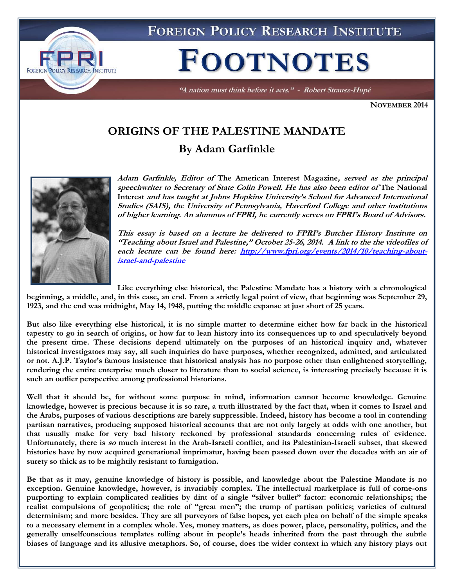

"A nation must think before it acts." - Robert Strausz-Hupé

**NOVEMBER 2014**

# **ORIGINS OF THE PALESTINE MANDATE By Adam Garfinkle**



**Adam Garfinkle, Editor of The American Interest Magazine, served as the principal speechwriter to Secretary of State Colin Powell. He has also been editor of The National Interest and has taught at Johns Hopkins University's School for Advanced International Studies (SAIS), the University of Pennsylvania, Haverford College and other institutions of higher learning. An alumnus of FPRI, he currently serves on FPRI's Board of Advisors.** 

**This essay is based on a lecture he delivered to FPRI's Butcher History Institute on "Teaching about Israel and Palestine," October 25-26, 2014. A link to the the videofiles of each lecture can be found here: [http://www.fpri.org/events/2014/10/teaching-about](http://www.fpri.org/events/2014/10/teaching-about-israel-and-palestine)[israel-and-palestine](http://www.fpri.org/events/2014/10/teaching-about-israel-and-palestine)**

**Like everything else historical, the Palestine Mandate has a history with a chronological** 

**beginning, a middle, and, in this case, an end. From a strictly legal point of view, that beginning was September 29, 1923, and the end was midnight, May 14, 1948, putting the middle expanse at just short of 25 years.** 

**But also like everything else historical, it is no simple matter to determine either how far back in the historical tapestry to go in search of origins, or how far to lean history into its consequences up to and speculatively beyond the present time. These decisions depend ultimately on the purposes of an historical inquiry and, whatever historical investigators may say, all such inquiries do have purposes, whether recognized, admitted, and articulated or not. A.J.P. Taylor's famous insistence that historical analysis has no purpose other than enlightened storytelling, rendering the entire enterprise much closer to literature than to social science, is interesting precisely because it is such an outlier perspective among professional historians.** 

**Well that it should be, for without some purpose in mind, information cannot become knowledge. Genuine knowledge, however is precious because it is so rare, a truth illustrated by the fact that, when it comes to Israel and the Arabs, purposes of various descriptions are barely suppressible. Indeed, history has become a tool in contending partisan narratives, producing supposed historical accounts that are not only largely at odds with one another, but that usually make for very bad history reckoned by professional standards concerning rules of evidence. Unfortunately, there is so much interest in the Arab-Israeli conflict, and its Palestinian-Israeli subset, that skewed histories have by now acquired generational imprimatur, having been passed down over the decades with an air of surety so thick as to be mightily resistant to fumigation.**

**Be that as it may, genuine knowledge of history is possible, and knowledge about the Palestine Mandate is no exception. Genuine knowledge, however, is invariably complex. The intellectual marketplace is full of come-ons purporting to explain complicated realities by dint of a single "silver bullet" factor: economic relationships; the realist compulsions of geopolitics; the role of "great men"; the trump of partisan politics; varieties of cultural determinism; and more besides. They are all purveyors of false hopes, yet each plea on behalf of the simple speaks to a necessary element in a complex whole. Yes, money matters, as does power, place, personality, politics, and the generally unselfconscious templates rolling about in people's heads inherited from the past through the subtle biases of language and its allusive metaphors. So, of course, does the wider context in which any history plays out**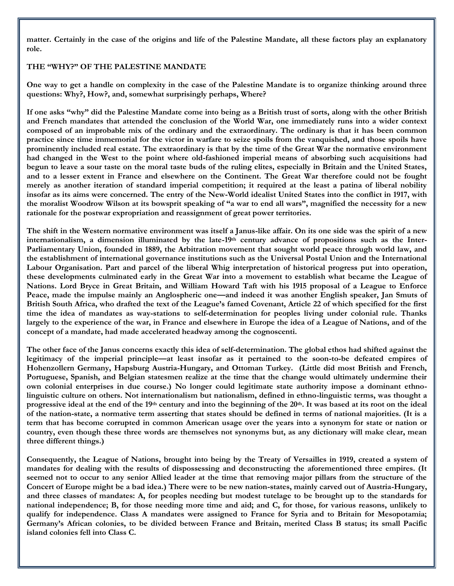**matter. Certainly in the case of the origins and life of the Palestine Mandate, all these factors play an explanatory role.**

#### **THE "WHY?" OF THE PALESTINE MANDATE**

**One way to get a handle on complexity in the case of the Palestine Mandate is to organize thinking around three questions: Why?, How?, and, somewhat surprisingly perhaps, Where?**

**If one asks "why" did the Palestine Mandate come into being as a British trust of sorts, along with the other British and French mandates that attended the conclusion of the World War, one immediately runs into a wider context composed of an improbable mix of the ordinary and the extraordinary. The ordinary is that it has been common practice since time immemorial for the victor in warfare to seize spoils from the vanquished, and those spoils have prominently included real estate. The extraordinary is that by the time of the Great War the normative environment had changed in the West to the point where old-fashioned imperial means of absorbing such acquisitions had begun to leave a sour taste on the moral taste buds of the ruling elites, especially in Britain and the United States, and to a lesser extent in France and elsewhere on the Continent. The Great War therefore could not be fought merely as another iteration of standard imperial competition; it required at the least a patina of liberal nobility insofar as its aims were concerned. The entry of the New-World idealist United States into the conflict in 1917, with the moralist Woodrow Wilson at its bowsprit speaking of "a war to end all wars", magnified the necessity for a new rationale for the postwar expropriation and reassignment of great power territories.**

**The shift in the Western normative environment was itself a Janus-like affair. On its one side was the spirit of a new internationalism, a dimension illuminated by the late-19th century advance of propositions such as the Inter-Parliamentary Union, founded in 1889, the Arbitration movement that sought world peace through world law, and the establishment of international governance institutions such as the Universal Postal Union and the International Labour Organisation. Part and parcel of the liberal Whig interpretation of historical progress put into operation, these developments culminated early in the Great War into a movement to establish what became the League of Nations. Lord Bryce in Great Britain, and William Howard Taft with his 1915 proposal of a League to Enforce Peace, made the impulse mainly an Anglospheric one—and indeed it was another English speaker, Jan Smuts of British South Africa, who drafted the text of the League's famed Covenant, Article 22 of which specified for the first time the idea of mandates as way-stations to self-determination for peoples living under colonial rule. Thanks largely to the experience of the war, in France and elsewhere in Europe the idea of a League of Nations, and of the concept of a mandate, had made accelerated headway among the cognoscenti.** 

**The other face of the Janus concerns exactly this idea of self-determination. The global ethos had shifted against the legitimacy of the imperial principle—at least insofar as it pertained to the soon-to-be defeated empires of Hohenzollern Germany, Hapsburg Austria-Hungary, and Ottoman Turkey. (Little did most British and French, Portuguese, Spanish, and Belgian statesmen realize at the time that the change would ultimately undermine their own colonial enterprises in due course.) No longer could legitimate state authority impose a dominant ethnolinguistic culture on others. Not internationalism but nationalism, defined in ethno-linguistic terms, was thought a progressive ideal at the end of the 19th century and into the beginning of the 20th. It was based at its root on the ideal of the nation-state, a normative term asserting that states should be defined in terms of national majorities. (It is a term that has become corrupted in common American usage over the years into a synonym for state or nation or country, even though these three words are themselves not synonyms but, as any dictionary will make clear, mean three different things.)** 

**Consequently, the League of Nations, brought into being by the Treaty of Versailles in 1919, created a system of mandates for dealing with the results of dispossessing and deconstructing the aforementioned three empires. (It seemed not to occur to any senior Allied leader at the time that removing major pillars from the structure of the Concert of Europe might be a bad idea.) There were to be new nation-states, mainly carved out of Austria-Hungary, and three classes of mandates: A, for peoples needing but modest tutelage to be brought up to the standards for national independence; B, for those needing more time and aid; and C, for those, for various reasons, unlikely to qualify for independence. Class A mandates were assigned to France for Syria and to Britain for Mesopotamia; Germany's African colonies, to be divided between France and Britain, merited Class B status; its small Pacific island colonies fell into Class C.**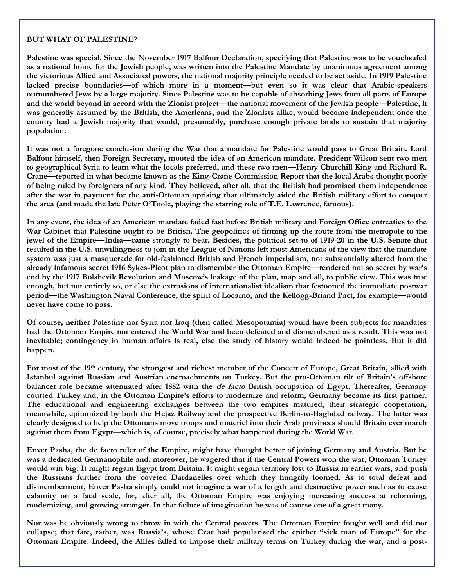#### **BUT WHAT OF PALESTINE?**

**Palestine was special. Since the November 1917 Balfour Declaration, specifying that Palestine was to be vouchsafed as a national home for the Jewish people, was written into the Palestine Mandate by unanimous agreement among the victorious Allied and Associated powers, the national majority principle needed to be set aside. In 1919 Palestine lacked precise boundaries—of which more in a moment—but even so it was clear that Arabic-speakers outnumbered Jews by a large majority. Since Palestine was to be capable of absorbing Jews from all parts of Europe and the world beyond in accord with the Zionist project—the national movement of the Jewish people—Palestine, it was generally assumed by the British, the Americans, and the Zionists alike, would become independent once the country had a Jewish majority that would, presumably, purchase enough private lands to sustain that majority population.**

**It was not a foregone conclusion during the War that a mandate for Palestine would pass to Great Britain. Lord Balfour himself, then Foreign Secretary, mooted the idea of an American mandate. President Wilson sent two men to geographical Syria to learn what the locals preferred, and these two men—Henry Churchill King and Richard R. Crane—reported in what became known as the King-Crane Commission Report that the local Arabs thought poorly of being ruled by foreigners of any kind. They believed, after all, that the British had promised them independence after the war in payment for the anti-Ottoman uprising that ultimately aided the British military effort to conquer the area (and made the late Peter O'Toole, playing the starring role of T.E. Lawrence, famous).** 

**In any event, the idea of an American mandate faded fast before British military and Foreign Office entreaties to the War Cabinet that Palestine ought to be British. The geopolitics of firming up the route from the metropole to the jewel of the Empire—India—came strongly to bear. Besides, the political set-to of 1919-20 in the U.S. Senate that resulted in the U.S. unwillingness to join in the League of Nations left most Americans of the view that the mandate system was just a masquerade for old-fashioned British and French imperialism, not substantially altered from the already infamous secret 1916 Sykes-Picot plan to dismember the Ottoman Empire—rendered not so secret by war's end by the 1917 Bolshevik Revolution and Moscow's leakage of the plan, map and all, to public view. This was true enough, but not entirely so, or else the extrusions of internationalist idealism that festooned the immediate postwar period—the Washington Naval Conference, the spirit of Locarno, and the Kellogg-Briand Pact, for example—would never have come to pass.**

**Of course, neither Palestine nor Syria nor Iraq (then called Mesopotamia) would have been subjects for mandates had the Ottoman Empire not entered the World War and been defeated and dismembered as a result. This was not inevitable; contingency in human affairs is real, else the study of history would indeed be pointless. But it did happen.**

**For most of the 19th century, the strongest and richest member of the Concert of Europe, Great Britain, allied with Istanbul against Russian and Austrian encroachments on Turkey. But the pro-Ottoman tilt of Britain's offshore balancer role became attenuated after 1882 with the de facto British occupation of Egypt. Thereafter, Germany courted Turkey and, in the Ottoman Empire's efforts to modernize and reform, Germany became its first partner. The educational and engineering exchanges between the two empires matured, their strategic cooperation, meanwhile, epitomized by both the Hejaz Railway and the prospective Berlin-to-Baghdad railway. The latter was clearly designed to help the Ottomans move troops and materiel into their Arab provinces should Britain ever march against them from Egypt—which is, of course, precisely what happened during the World War.**

**Enver Pasha, the de facto ruler of the Empire, might have thought better of joining Germany and Austria. But he was a dedicated Germanophile and, moreover, he wagered that if the Central Powers won the war, Ottoman Turkey would win big. It might regain Egypt from Britain. It might regain territory lost to Russia in earlier wars, and push the Russians further from the coveted Dardanelles over which they hungrily loomed. As to total defeat and dismemberment, Enver Pasha simply could not imagine a war of a length and destructive power such as to cause calamity on a fatal scale, for, after all, the Ottoman Empire was enjoying increasing success at reforming, modernizing, and growing stronger. In that failure of imagination he was of course one of a great many.** 

**Nor was he obviously wrong to throw in with the Central powers. The Ottoman Empire fought well and did not collapse; that fate, rather, was Russia's, whose Czar had popularized the epithet "sick man of Europe" for the Ottoman Empire. Indeed, the Allies failed to impose their military terms on Turkey during the war, and a post-**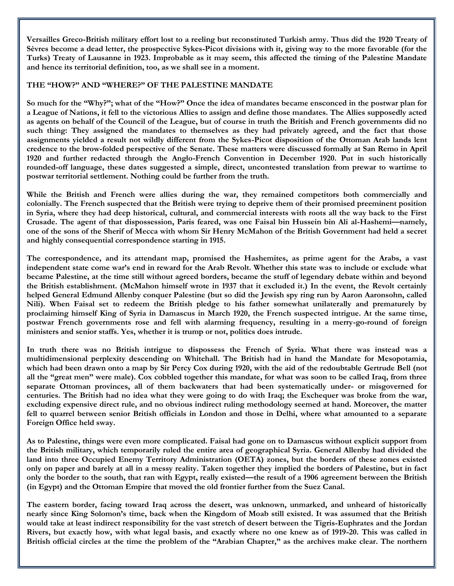**Versailles Greco-British military effort lost to a reeling but reconstituted Turkish army. Thus did the 1920 Treaty of Sèvres become a dead letter, the prospective Sykes-Picot divisions with it, giving way to the more favorable (for the Turks) Treaty of Lausanne in 1923. Improbable as it may seem, this affected the timing of the Palestine Mandate and hence its territorial definition, too, as we shall see in a moment.** 

### **THE "HOW?" AND "WHERE?" OF THE PALESTINE MANDATE**

**So much for the "Why?"; what of the "How?" Once the idea of mandates became ensconced in the postwar plan for a League of Nations, it fell to the victorious Allies to assign and define those mandates. The Allies supposedly acted as agents on behalf of the Council of the League, but of course in truth the British and French governments did no such thing: They assigned the mandates to themselves as they had privately agreed, and the fact that those assignments yielded a result not wildly different from the Sykes-Picot disposition of the Ottoman Arab lands lent credence to the brow-folded perspective of the Senate. These matters were discussed formally at San Remo in April 1920 and further redacted through the Anglo-French Convention in December 1920. Put in such historically rounded-off language, these dates suggested a simple, direct, uncontested translation from prewar to wartime to postwar territorial settlement. Nothing could be further from the truth.** 

**While the British and French were allies during the war, they remained competitors both commercially and colonially. The French suspected that the British were trying to deprive them of their promised preeminent position in Syria, where they had deep historical, cultural, and commercial interests with roots all the way back to the First Crusade. The agent of that dispossession, Paris feared, was one Faisal bin Hussein bin Ali al-Hashemi—namely, one of the sons of the Sherif of Mecca with whom Sir Henry McMahon of the British Government had held a secret and highly consequential correspondence starting in 1915.** 

**The correspondence, and its attendant map, promised the Hashemites, as prime agent for the Arabs, a vast independent state come war's end in reward for the Arab Revolt. Whether this state was to include or exclude what became Palestine, at the time still without agreed borders, became the stuff of legendary debate within and beyond the British establishment. (McMahon himself wrote in 1937 that it excluded it.) In the event, the Revolt certainly helped General Edmund Allenby conquer Palestine (but so did the Jewish spy ring run by Aaron Aaronsohn, called Nili). When Faisal set to redeem the British pledge to his father somewhat unilaterally and prematurely by proclaiming himself King of Syria in Damascus in March 1920, the French suspected intrigue. At the same time, postwar French governments rose and fell with alarming frequency, resulting in a merry-go-round of foreign ministers and senior staffs. Yes, whether it is trump or not, politics does intrude.**

**In truth there was no British intrigue to dispossess the French of Syria. What there was instead was a multidimensional perplexity descending on Whitehall. The British had in hand the Mandate for Mesopotamia, which had been drawn onto a map by Sir Percy Cox during 1920, with the aid of the redoubtable Gertrude Bell (not all the "great men" were male). Cox cobbled together this mandate, for what was soon to be called Iraq, from three separate Ottoman provinces, all of them backwaters that had been systematically under- or misgoverned for centuries. The British had no idea what they were going to do with Iraq; the Exchequer was broke from the war, excluding expensive direct rule, and no obvious indirect ruling methodology seemed at hand. Moreover, the matter fell to quarrel between senior British officials in London and those in Delhi, where what amounted to a separate Foreign Office held sway.**

**As to Palestine, things were even more complicated. Faisal had gone on to Damascus without explicit support from the British military, which temporarily ruled the entire area of geographical Syria. General Allenby had divided the land into three Occupied Enemy Territory Administration (OETA) zones, but the borders of these zones existed only on paper and barely at all in a messy reality. Taken together they implied the borders of Palestine, but in fact only the border to the south, that ran with Egypt, really existed—the result of a 1906 agreement between the British (in Egypt) and the Ottoman Empire that moved the old frontier further from the Suez Canal.** 

**The eastern border, facing toward Iraq across the desert, was unknown, unmarked, and unheard of historically nearly since King Solomon's time, back when the Kingdom of Moab still existed. It was assumed that the British would take at least indirect responsibility for the vast stretch of desert between the Tigris-Euphrates and the Jordan Rivers, but exactly how, with what legal basis, and exactly where no one knew as of 1919-20. This was called in British official circles at the time the problem of the "Arabian Chapter," as the archives make clear. The northern**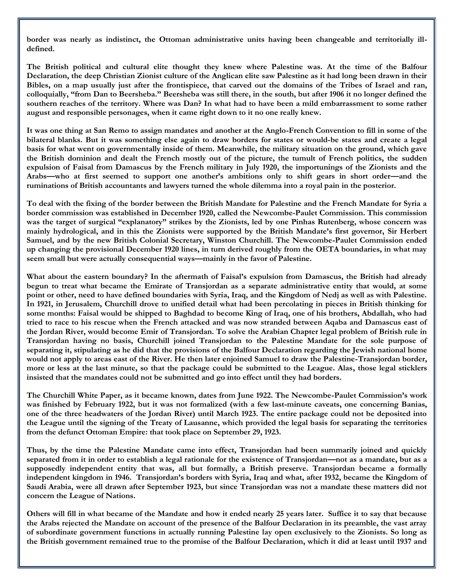**border was nearly as indistinct, the Ottoman administrative units having been changeable and territorially illdefined.**

**The British political and cultural elite thought they knew where Palestine was. At the time of the Balfour Declaration, the deep Christian Zionist culture of the Anglican elite saw Palestine as it had long been drawn in their Bibles, on a map usually just after the frontispiece, that carved out the domains of the Tribes of Israel and ran, colloquially, "from Dan to Beersheba." Beersheba was still there, in the south, but after 1906 it no longer defined the southern reaches of the territory. Where was Dan? In what had to have been a mild embarrassment to some rather august and responsible personages, when it came right down to it no one really knew.** 

**It was one thing at San Remo to assign mandates and another at the Anglo-French Convention to fill in some of the bilateral blanks. But it was something else again to draw borders for states or would-be states and create a legal basis for what went on governmentally inside of them. Meanwhile, the military situation on the ground, which gave the British dominion and dealt the French mostly out of the picture, the tumult of French politics, the sudden expulsion of Faisal from Damascus by the French military in July 1920, the importunings of the Zionists and the Arabs—who at first seemed to support one another's ambitions only to shift gears in short order—and the ruminations of British accountants and lawyers turned the whole dilemma into a royal pain in the posterior.** 

**To deal with the fixing of the border between the British Mandate for Palestine and the French Mandate for Syria a border commission was established in December 1920, called the Newcombe-Paulet Commission. This commission was the target of surgical "explanatory" strikes by the Zionists, led by one Pinhas Rutenberg, whose concern was mainly hydrological, and in this the Zionists were supported by the British Mandate's first governor, Sir Herbert Samuel, and by the new British Colonial Secretary, Winston Churchill. The Newcombe-Paulet Commission ended up changing the provisional December 1920 lines, in turn derived roughly from the OETA boundaries, in what may seem small but were actually consequential ways—mainly in the favor of Palestine.** 

**What about the eastern boundary? In the aftermath of Faisal's expulsion from Damascus, the British had already begun to treat what became the Emirate of Transjordan as a separate administrative entity that would, at some point or other, need to have defined boundaries with Syria, Iraq, and the Kingdom of Nedj as well as with Palestine. In 1921, in Jerusalem, Churchill drove to unified detail what had been percolating in pieces in British thinking for some months: Faisal would be shipped to Baghdad to become King of Iraq, one of his brothers, Abdallah, who had tried to race to his rescue when the French attacked and was now stranded between Aqaba and Damascus east of the Jordan River, would become Emir of Transjordan. To solve the Arabian Chapter legal problem of British rule in Transjordan having no basis, Churchill joined Transjordan to the Palestine Mandate for the sole purpose of separating it, stipulating as he did that the provisions of the Balfour Declaration regarding the Jewish national home would not apply to areas east of the River. He then later enjoined Samuel to draw the Palestine-Transjordan border, more or less at the last minute, so that the package could be submitted to the League. Alas, those legal sticklers insisted that the mandates could not be submitted and go into effect until they had borders.**

**The Churchill White Paper, as it became known, dates from June 1922. The Newcombe-Paulet Commission's work was finished by February 1922, but it was not formalized (with a few last-minute caveats, one concerning Banias, one of the three headwaters of the Jordan River) until March 1923. The entire package could not be deposited into the League until the signing of the Treaty of Lausanne, which provided the legal basis for separating the territories from the defunct Ottoman Empire: that took place on September 29, 1923.** 

**Thus, by the time the Palestine Mandate came into effect, Transjordan had been summarily joined and quickly separated from it in order to establish a legal rationale for the existence of Transjordan—not as a mandate, but as a supposedly independent entity that was, all but formally, a British preserve. Transjordan became a formally independent kingdom in 1946. Transjordan's borders with Syria, Iraq and what, after 1932, became the Kingdom of Saudi Arabia, were all drawn after September 1923, but since Transjordan was not a mandate these matters did not concern the League of Nations.**

**Others will fill in what became of the Mandate and how it ended nearly 25 years later. Suffice it to say that because the Arabs rejected the Mandate on account of the presence of the Balfour Declaration in its preamble, the vast array of subordinate government functions in actually running Palestine lay open exclusively to the Zionists. So long as the British government remained true to the promise of the Balfour Declaration, which it did at least until 1937 and**